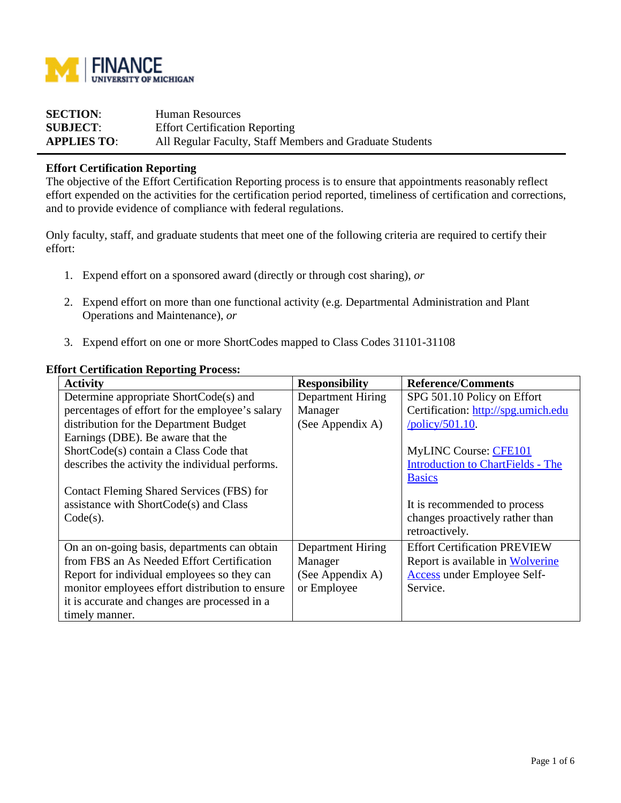

| <b>SECTION:</b>    | Human Resources                                          |
|--------------------|----------------------------------------------------------|
| <b>SUBJECT:</b>    | <b>Effort Certification Reporting</b>                    |
| <b>APPLIES TO:</b> | All Regular Faculty, Staff Members and Graduate Students |

## **Effort Certification Reporting**

The objective of the Effort Certification Reporting process is to ensure that appointments reasonably reflect effort expended on the activities for the certification period reported, timeliness of certification and corrections, and to provide evidence of compliance with federal regulations.

Only faculty, staff, and graduate students that meet one of the following criteria are required to certify their effort:

- 1. Expend effort on a sponsored award (directly or through cost sharing), *or*
- 2. Expend effort on more than one functional activity (e.g. Departmental Administration and Plant Operations and Maintenance), *or*
- 3. Expend effort on one or more ShortCodes mapped to Class Codes 31101-31108

#### **Effort Certification Reporting Process:**

| <b>Activity</b>                                 | <b>Responsibility</b> | <b>Reference/Comments</b>                |
|-------------------------------------------------|-----------------------|------------------------------------------|
| Determine appropriate ShortCode(s) and          | Department Hiring     | SPG 501.10 Policy on Effort              |
| percentages of effort for the employee's salary | Manager               | Certification: http://spg.umich.edu      |
| distribution for the Department Budget          | (See Appendix A)      | $\overline{\text{poly}}$ /policy/501.10. |
| Earnings (DBE). Be aware that the               |                       |                                          |
| ShortCode(s) contain a Class Code that          |                       | <b>MyLINC Course: CFE101</b>             |
| describes the activity the individual performs. |                       | <b>Introduction to ChartFields - The</b> |
|                                                 |                       | <b>Basics</b>                            |
| Contact Fleming Shared Services (FBS) for       |                       |                                          |
| assistance with ShortCode(s) and Class          |                       | It is recommended to process             |
| $Code(s)$ .                                     |                       | changes proactively rather than          |
|                                                 |                       | retroactively.                           |
| On an on-going basis, departments can obtain    | Department Hiring     | <b>Effort Certification PREVIEW</b>      |
| from FBS an As Needed Effort Certification      | Manager               | Report is available in Wolverine         |
| Report for individual employees so they can     | (See Appendix A)      | <b>Access under Employee Self-</b>       |
| monitor employees effort distribution to ensure | or Employee           | Service.                                 |
| it is accurate and changes are processed in a   |                       |                                          |
| timely manner.                                  |                       |                                          |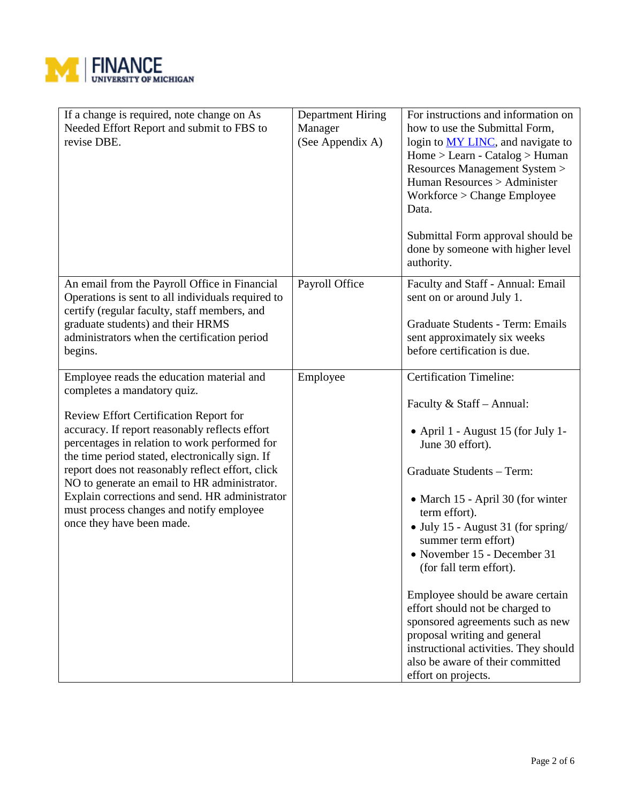

| If a change is required, note change on As<br>Needed Effort Report and submit to FBS to<br>revise DBE.                                                                                                                                                                                                                                                                                                                                                                                                         | <b>Department Hiring</b><br>Manager<br>(See Appendix A) | For instructions and information on<br>how to use the Submittal Form,<br>login to <u>MY LINC</u> , and navigate to<br>$Home > Learn - Catalog > Human$<br>Resources Management System ><br>Human Resources > Administer<br>Workforce > Change Employee<br>Data.<br>Submittal Form approval should be<br>done by someone with higher level<br>authority.                                                                                                                                                                                                                        |
|----------------------------------------------------------------------------------------------------------------------------------------------------------------------------------------------------------------------------------------------------------------------------------------------------------------------------------------------------------------------------------------------------------------------------------------------------------------------------------------------------------------|---------------------------------------------------------|--------------------------------------------------------------------------------------------------------------------------------------------------------------------------------------------------------------------------------------------------------------------------------------------------------------------------------------------------------------------------------------------------------------------------------------------------------------------------------------------------------------------------------------------------------------------------------|
| An email from the Payroll Office in Financial<br>Operations is sent to all individuals required to<br>certify (regular faculty, staff members, and<br>graduate students) and their HRMS<br>administrators when the certification period<br>begins.                                                                                                                                                                                                                                                             | Payroll Office                                          | Faculty and Staff - Annual: Email<br>sent on or around July 1.<br>Graduate Students - Term: Emails<br>sent approximately six weeks<br>before certification is due.                                                                                                                                                                                                                                                                                                                                                                                                             |
| Employee reads the education material and<br>completes a mandatory quiz.<br><b>Review Effort Certification Report for</b><br>accuracy. If report reasonably reflects effort<br>percentages in relation to work performed for<br>the time period stated, electronically sign. If<br>report does not reasonably reflect effort, click<br>NO to generate an email to HR administrator.<br>Explain corrections and send. HR administrator<br>must process changes and notify employee<br>once they have been made. | Employee                                                | <b>Certification Timeline:</b><br>Faculty & Staff - Annual:<br>• April 1 - August 15 (for July 1-<br>June 30 effort).<br>Graduate Students - Term:<br>• March 15 - April 30 (for winter<br>term effort).<br>• July 15 - August 31 (for spring/<br>summer term effort)<br>• November 15 - December 31<br>(for fall term effort).<br>Employee should be aware certain<br>effort should not be charged to<br>sponsored agreements such as new<br>proposal writing and general<br>instructional activities. They should<br>also be aware of their committed<br>effort on projects. |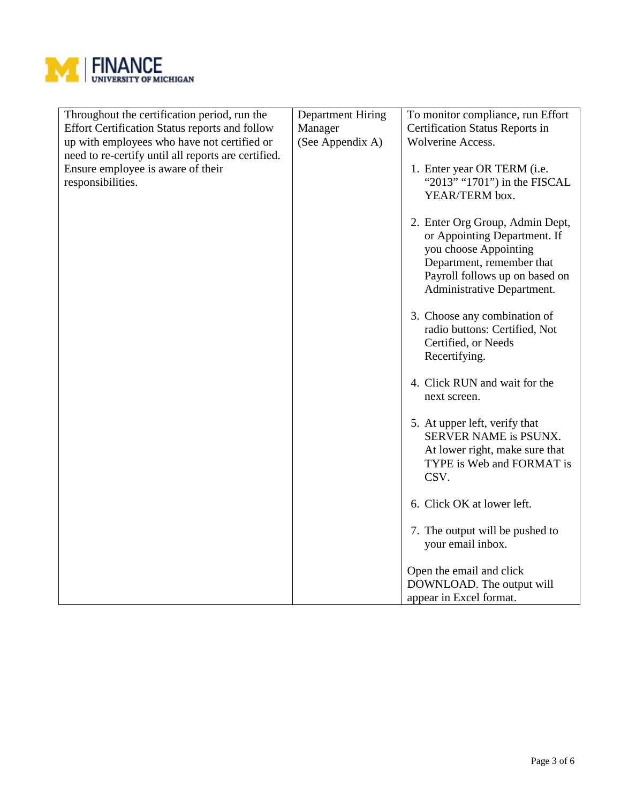

| Throughout the certification period, run the<br><b>Effort Certification Status reports and follow</b><br>up with employees who have not certified or<br>need to re-certify until all reports are certified.<br>Ensure employee is aware of their<br>responsibilities. | <b>Department Hiring</b><br>Manager<br>(See Appendix A) | To monitor compliance, run Effort<br>Certification Status Reports in<br>Wolverine Access.<br>1. Enter year OR TERM (i.e.<br>"2013" "1701") in the FISCAL<br>YEAR/TERM box.<br>2. Enter Org Group, Admin Dept,<br>or Appointing Department. If<br>you choose Appointing<br>Department, remember that<br>Payroll follows up on based on<br>Administrative Department.<br>3. Choose any combination of<br>radio buttons: Certified, Not<br>Certified, or Needs<br>Recertifying.<br>4. Click RUN and wait for the<br>next screen.<br>5. At upper left, verify that<br>SERVER NAME is PSUNX.<br>At lower right, make sure that<br>TYPE is Web and FORMAT is<br>CSV.<br>6. Click OK at lower left. |
|-----------------------------------------------------------------------------------------------------------------------------------------------------------------------------------------------------------------------------------------------------------------------|---------------------------------------------------------|----------------------------------------------------------------------------------------------------------------------------------------------------------------------------------------------------------------------------------------------------------------------------------------------------------------------------------------------------------------------------------------------------------------------------------------------------------------------------------------------------------------------------------------------------------------------------------------------------------------------------------------------------------------------------------------------|
|                                                                                                                                                                                                                                                                       |                                                         | 7. The output will be pushed to<br>your email inbox.                                                                                                                                                                                                                                                                                                                                                                                                                                                                                                                                                                                                                                         |
|                                                                                                                                                                                                                                                                       |                                                         | Open the email and click<br>DOWNLOAD. The output will<br>appear in Excel format.                                                                                                                                                                                                                                                                                                                                                                                                                                                                                                                                                                                                             |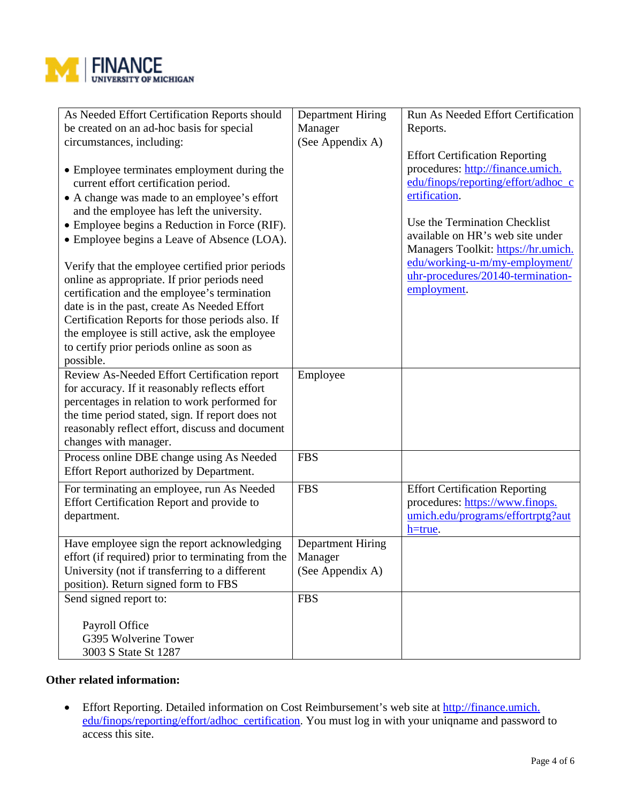

| As Needed Effort Certification Reports should<br>be created on an ad-hoc basis for special<br>circumstances, including:<br>• Employee terminates employment during the<br>current effort certification period.<br>• A change was made to an employee's effort<br>and the employee has left the university.<br>• Employee begins a Reduction in Force (RIF).<br>• Employee begins a Leave of Absence (LOA).<br>Verify that the employee certified prior periods<br>online as appropriate. If prior periods need<br>certification and the employee's termination<br>date is in the past, create As Needed Effort<br>Certification Reports for those periods also. If<br>the employee is still active, ask the employee<br>to certify prior periods online as soon as<br>possible. | <b>Department Hiring</b><br>Manager<br>(See Appendix A) | Run As Needed Effort Certification<br>Reports.<br><b>Effort Certification Reporting</b><br>procedures: http://finance.umich.<br>edu/finops/reporting/effort/adhoc_c<br>ertification.<br>Use the Termination Checklist<br>available on HR's web site under<br>Managers Toolkit: https://hr.umich.<br>edu/working-u-m/my-employment/<br>uhr-procedures/20140-termination-<br>employment. |
|---------------------------------------------------------------------------------------------------------------------------------------------------------------------------------------------------------------------------------------------------------------------------------------------------------------------------------------------------------------------------------------------------------------------------------------------------------------------------------------------------------------------------------------------------------------------------------------------------------------------------------------------------------------------------------------------------------------------------------------------------------------------------------|---------------------------------------------------------|----------------------------------------------------------------------------------------------------------------------------------------------------------------------------------------------------------------------------------------------------------------------------------------------------------------------------------------------------------------------------------------|
| Review As-Needed Effort Certification report<br>for accuracy. If it reasonably reflects effort<br>percentages in relation to work performed for<br>the time period stated, sign. If report does not<br>reasonably reflect effort, discuss and document<br>changes with manager.                                                                                                                                                                                                                                                                                                                                                                                                                                                                                                 | Employee                                                |                                                                                                                                                                                                                                                                                                                                                                                        |
| Process online DBE change using As Needed<br>Effort Report authorized by Department.                                                                                                                                                                                                                                                                                                                                                                                                                                                                                                                                                                                                                                                                                            | <b>FBS</b>                                              |                                                                                                                                                                                                                                                                                                                                                                                        |
| For terminating an employee, run As Needed<br>Effort Certification Report and provide to<br>department.                                                                                                                                                                                                                                                                                                                                                                                                                                                                                                                                                                                                                                                                         | <b>FBS</b>                                              | <b>Effort Certification Reporting</b><br>procedures: https://www.finops.<br>umich.edu/programs/effortrptg?aut<br>$h = true$ .                                                                                                                                                                                                                                                          |
| Have employee sign the report acknowledging<br>effort (if required) prior to terminating from the $\vert$ Manager<br>University (not if transferring to a different<br>position). Return signed form to FBS                                                                                                                                                                                                                                                                                                                                                                                                                                                                                                                                                                     | Department Hiring<br>(See Appendix A)                   |                                                                                                                                                                                                                                                                                                                                                                                        |
| Send signed report to:<br>Payroll Office<br>G395 Wolverine Tower<br>3003 S State St 1287                                                                                                                                                                                                                                                                                                                                                                                                                                                                                                                                                                                                                                                                                        | <b>FBS</b>                                              |                                                                                                                                                                                                                                                                                                                                                                                        |

### **Other related information:**

• Effort Reporting. Detailed information on Cost Reimbursement's web site at http://finance.umich. edu/finops/reporting/effort/adhoc\_certification. You must log in with your uniqname and password to access this site.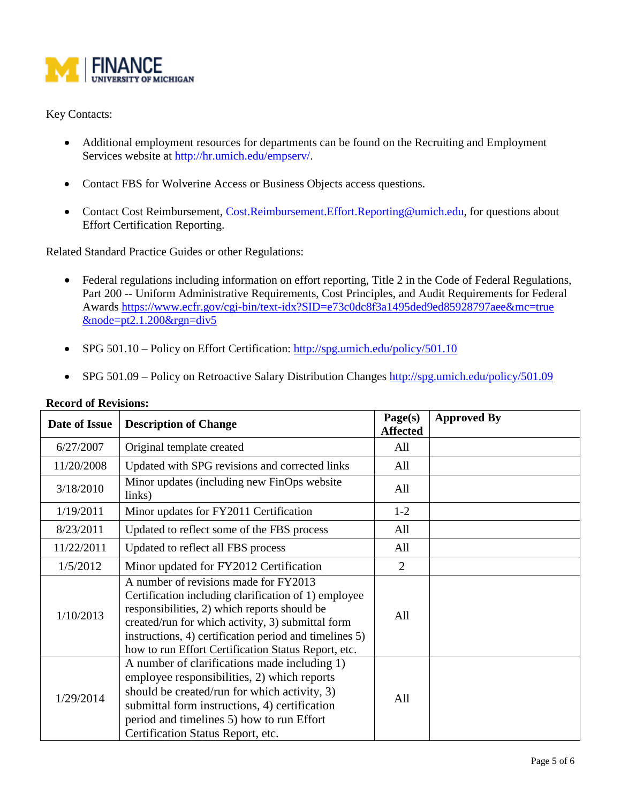

# Key Contacts:

- Additional employment resources for departments can be found on the Recruiting and Employment Services website at http://hr.umich.edu/empserv/.
- Contact FBS for Wolverine Access or Business Objects access questions.
- Contact Cost Reimbursement, Cost.Reimbursement.Effort.Reporting@umich.edu, for questions about Effort Certification Reporting.

Related Standard Practice Guides or other Regulations:

- Federal regulations including information on effort reporting, Title 2 in the Code of Federal Regulations, Part 200 -- Uniform Administrative Requirements, Cost Principles, and Audit Requirements for Federal Awards [https://www.ecfr.gov/cgi-bin/text-idx?SID=e73c0dc8f3a1495ded9ed85928797aee&mc=true](https://www.ecfr.gov/cgi-bin/text-idx?SID=e73c0dc8f3a1495ded9ed85928797aee&mc=true%20&node=pt2.1.200&rgn=div5)  [&node=pt2.1.200&rgn=div5](https://www.ecfr.gov/cgi-bin/text-idx?SID=e73c0dc8f3a1495ded9ed85928797aee&mc=true%20&node=pt2.1.200&rgn=div5)
- SPG 501.10 Policy on Effort Certification:  $\frac{http://spg.umich.edu/policy/501.10}{http://spg.umich.edu/policy/501.10}$
- SPG 501.09 Policy on Retroactive Salary Distribution Changes <http://spg.umich.edu/policy/501.09>

| Date of Issue | <b>Description of Change</b>                                                                                                                                                                                                                                                                                        | Page(s)<br><b>Affected</b> | <b>Approved By</b> |
|---------------|---------------------------------------------------------------------------------------------------------------------------------------------------------------------------------------------------------------------------------------------------------------------------------------------------------------------|----------------------------|--------------------|
| 6/27/2007     | Original template created                                                                                                                                                                                                                                                                                           | All                        |                    |
| 11/20/2008    | Updated with SPG revisions and corrected links                                                                                                                                                                                                                                                                      | All                        |                    |
| 3/18/2010     | Minor updates (including new FinOps website<br>links)                                                                                                                                                                                                                                                               | All                        |                    |
| 1/19/2011     | Minor updates for FY2011 Certification                                                                                                                                                                                                                                                                              | $1-2$                      |                    |
| 8/23/2011     | Updated to reflect some of the FBS process                                                                                                                                                                                                                                                                          | All                        |                    |
| 11/22/2011    | Updated to reflect all FBS process                                                                                                                                                                                                                                                                                  | All                        |                    |
| 1/5/2012      | Minor updated for FY2012 Certification                                                                                                                                                                                                                                                                              | 2                          |                    |
| 1/10/2013     | A number of revisions made for FY2013<br>Certification including clarification of 1) employee<br>responsibilities, 2) which reports should be<br>created/run for which activity, 3) submittal form<br>instructions, 4) certification period and timelines 5)<br>how to run Effort Certification Status Report, etc. | All                        |                    |
| 1/29/2014     | A number of clarifications made including 1)<br>employee responsibilities, 2) which reports<br>should be created/run for which activity, 3)<br>submittal form instructions, 4) certification<br>period and timelines 5) how to run Effort<br>Certification Status Report, etc.                                      | All                        |                    |

#### **Record of Revisions:**